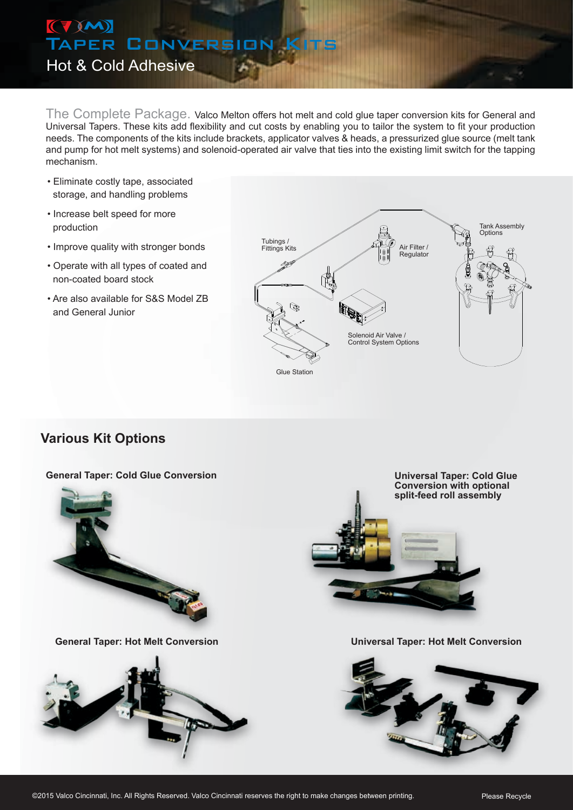# (VM)<br>Taper Conversio Hot & Cold Adhesive

The Complete Package. Valco Melton offers hot melt and cold glue taper conversion kits for General and Universal Tapers. These kits add flexibility and cut costs by enabling you to tailor the system to fit your production needs. The components of the kits include brackets, applicator valves & heads, a pressurized glue source (melt tank and pump for hot melt systems) and solenoid-operated air valve that ties into the existing limit switch for the tapping mechanism.

- Eliminate costly tape, associated storage, and handling problems
- Increase belt speed for more production
- Improve quality with stronger bonds
- Operate with all types of coated and non-coated board stock
- Are also available for S&S Model ZB and General Junior



### **Various Kit Options**

#### **General Taper: Cold Glue Conversion**







**General Taper: Hot Melt Conversion Universal Taper: Hot Melt Conversion**